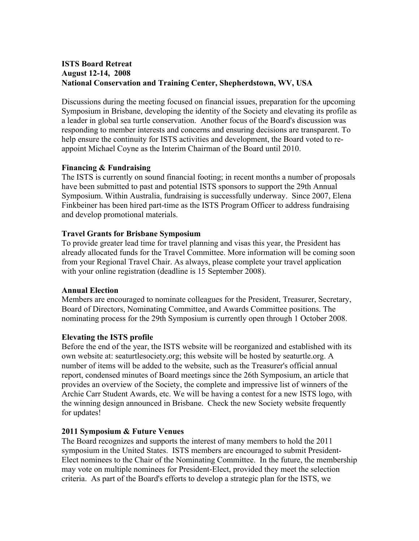# **ISTS Board Retreat August 12-14, 2008 National Conservation and Training Center, Shepherdstown, WV, USA**

Discussions during the meeting focused on financial issues, preparation for the upcoming Symposium in Brisbane, developing the identity of the Society and elevating its profile as a leader in global sea turtle conservation. Another focus of the Board's discussion was responding to member interests and concerns and ensuring decisions are transparent. To help ensure the continuity for ISTS activities and development, the Board voted to reappoint Michael Coyne as the Interim Chairman of the Board until 2010.

## **Financing & Fundraising**

The ISTS is currently on sound financial footing; in recent months a number of proposals have been submitted to past and potential ISTS sponsors to support the 29th Annual Symposium. Within Australia, fundraising is successfully underway. Since 2007, Elena Finkbeiner has been hired part-time as the ISTS Program Officer to address fundraising and develop promotional materials.

## **Travel Grants for Brisbane Symposium**

To provide greater lead time for travel planning and visas this year, the President has already allocated funds for the Travel Committee. More information will be coming soon from your Regional Travel Chair. As always, please complete your travel application with your online registration (deadline is 15 September 2008).

### **Annual Election**

Members are encouraged to nominate colleagues for the President, Treasurer, Secretary, Board of Directors, Nominating Committee, and Awards Committee positions. The nominating process for the 29th Symposium is currently open through 1 October 2008.

## **Elevating the ISTS profile**

Before the end of the year, the ISTS website will be reorganized and established with its own website at: seaturtlesociety.org; this website will be hosted by seaturtle.org. A number of items will be added to the website, such as the Treasurer's official annual report, condensed minutes of Board meetings since the 26th Symposium, an article that provides an overview of the Society, the complete and impressive list of winners of the Archie Carr Student Awards, etc. We will be having a contest for a new ISTS logo, with the winning design announced in Brisbane. Check the new Society website frequently for updates!

## **2011 Symposium & Future Venues**

The Board recognizes and supports the interest of many members to hold the 2011 symposium in the United States. ISTS members are encouraged to submit President-Elect nominees to the Chair of the Nominating Committee. In the future, the membership may vote on multiple nominees for President-Elect, provided they meet the selection criteria. As part of the Board's efforts to develop a strategic plan for the ISTS, we